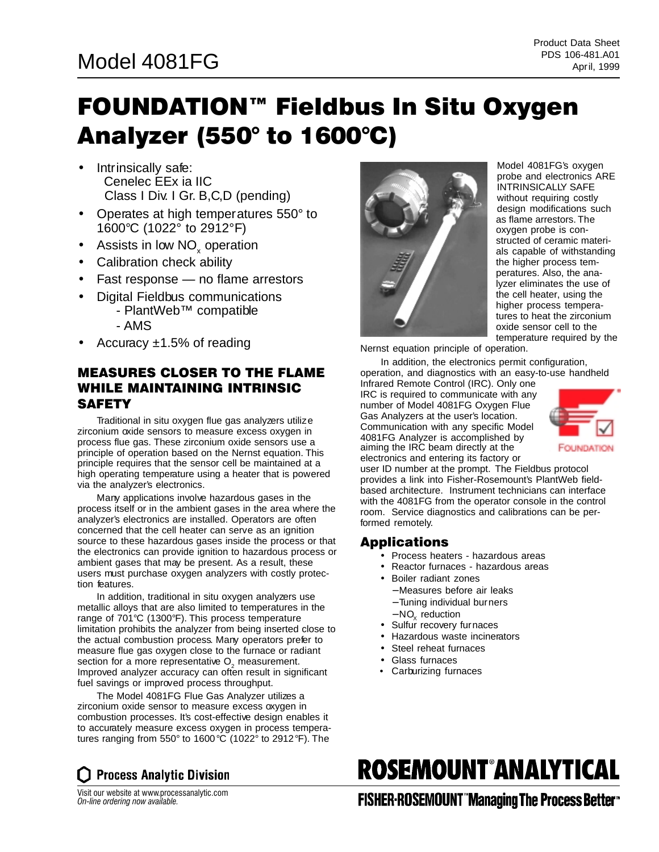### PDS 106-481.A01 PDS 106-481.A01

## FOUNDATION™ Fieldbus In Situ Oxygen Analyzer (550° to 1600°C)

- Intrinsically safe: Cenelec EEx ia IIC Class I Div. I Gr. B,C,D (pending)
- Operates at high temperatures 550° to 1600°C (1022° to 2912°F)
- Assists in low NO<sub>y</sub> operation
- Calibration check ability
- Fast response no flame arrestors
- Digital Fieldbus communications - PlantWeb™ compatible
	- AMS
- Accuracy  $\pm 1.5\%$  of reading

#### MEASURES CLOSER TO THE FLAME WHILE MAINTAINING INTRINSIC **SAFETY**

Traditional in situ oxygen flue gas analyzers utilize zirconium oxide sensors to measure excess oxygen in process flue gas. These zirconium oxide sensors use a principle of operation based on the Nernst equation. This principle requires that the sensor cell be maintained at a high operating temperature using a heater that is powered via the analyzer's electronics.

Many applications involve hazardous gases in the process itself or in the ambient gases in the area where the analyzer's electronics are installed. Operators are often concerned that the cell heater can serve as an ignition source to these hazardous gases inside the process or that the electronics can provide ignition to hazardous process or ambient gases that may be present. As a result, these users must purchase oxygen analyzers with costly protection features.

In addition, traditional in situ oxygen analyzers use metallic alloys that are also limited to temperatures in the range of 701°C (1300°F). This process temperature limitation prohibits the analyzer from being inserted close to the actual combustion process. Many operators prefer to measure flue gas oxygen close to the furnace or radiant section for a more representative O<sub>2</sub> measurement. Improved analyzer accuracy can often result in significant fuel savings or improved process throughput.

The Model 4081FG Flue Gas Analyzer utilizes a zirconium oxide sensor to measure excess oxygen in combustion processes. It's cost-effective design enables it to accurately measure excess oxygen in process temperatures ranging from 550° to 1600°C (1022° to 2912°F). The



Model 4081FG's oxygen probe and electronics ARE INTRINSICALLY SAFE without requiring costly design modifications such as flame arrestors. The oxygen probe is constructed of ceramic materials capable of withstanding the higher process temperatures. Also, the analyzer eliminates the use of the cell heater, using the higher process temperatures to heat the zirconium oxide sensor cell to the temperature required by the

Nernst equation principle of operation.

In addition, the electronics permit configuration,

operation, and diagnostics with an easy-to-use handheld Infrared Remote Control (IRC). Only one IRC is required to communicate with any number of Model 4081FG Oxygen Flue Gas Analyzers at the user's location. Communication with any specific Model 4081FG Analyzer is accomplished by aiming the IRC beam directly at the electronics and entering its factory or



user ID number at the prompt. The Fieldbus protocol provides a link into Fisher-Rosemount's PlantWeb fieldbased architecture. Instrument technicians can interface with the 4081FG from the operator console in the control room. Service diagnostics and calibrations can be performed remotely.

#### Applications

- Process heaters hazardous areas
- Reactor furnaces hazardous areas
- Boiler radiant zones
	- − Measures before air leaks
	- − Tuning individual burners
	- − NO<sub>v</sub> reduction
- Sulfur recovery furnaces
- Hazardous waste incinerators
- Steel reheat furnaces
- Glass furnaces
- Carburizing furnaces

# **ROSEMOUNT°ANALYTICAL**

Visit our website at www.processanalytic.com *On-line ordering now available.*

**Process Analytic Division** 

**FISHER-ROSEMOUNT "Managing The Process Better"**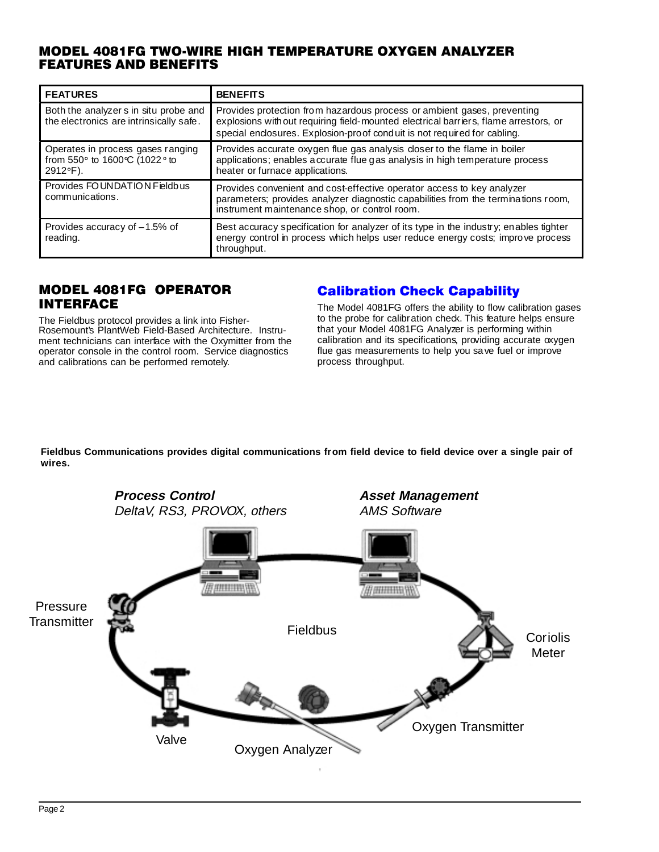#### MODEL 4081FG TWO-WIRE HIGH TEMPERATURE OXYGEN ANALYZER FEATURES AND BENEFITS

| <b>FEATURES</b>                                                                                                | <b>BENEFITS</b>                                                                                                                                                                                                                             |  |  |  |  |  |  |
|----------------------------------------------------------------------------------------------------------------|---------------------------------------------------------------------------------------------------------------------------------------------------------------------------------------------------------------------------------------------|--|--|--|--|--|--|
| Both the analyzer s in situ probe and<br>the electronics are intrinsically safe.                               | Provides protection from hazardous process or ambient gases, preventing<br>explosions with out requiring field-mounted electrical barriers, flame arrestors, or<br>special enclosures. Explosion-proof conduit is not required for cabling. |  |  |  |  |  |  |
| Operates in process gases ranging<br>from 550 $\circ$ to 1600 $\circ$ C (1022 $\circ$ to<br>$2912^{\circ}F$ ). | Provides accurate oxygen flue gas analysis closer to the flame in boiler<br>applications; enables a ccurate flue gas analysis in high temperature process<br>heater or furnace applications.                                                |  |  |  |  |  |  |
| Provides FOUNDATION Fieldbus<br>communications.                                                                | Provides convenient and cost-effective operator access to key analyzer<br>parameters; provides analyzer diagnostic capabilities from the terminations room,<br>instrument maintenance shop, or control room.                                |  |  |  |  |  |  |
| Provides accuracy of $-1.5%$ of<br>reading.                                                                    | Best accuracy specification for analyzer of its type in the industry; enables tighter<br>energy control in process which helps user reduce energy costs; improve process<br>throughput.                                                     |  |  |  |  |  |  |

#### MODEL 4081FG OPERATOR INTERFACE

The Fieldbus protocol provides a link into Fisher-Rosemount's PlantWeb Field-Based Architecture. Instrument technicians can interface with the Oxymitter from the operator console in the control room. Service diagnostics and calibrations can be performed remotely.

#### Calibration Check Capability

The Model 4081FG offers the ability to flow calibration gases to the probe for calibration check. This feature helps ensure that your Model 4081FG Analyzer is performing within calibration and its specifications, providing accurate oxygen flue gas measurements to help you save fuel or improve process throughput.

**Fieldbus Communications provides digital communications from field device to field device over a single pair of wires.**

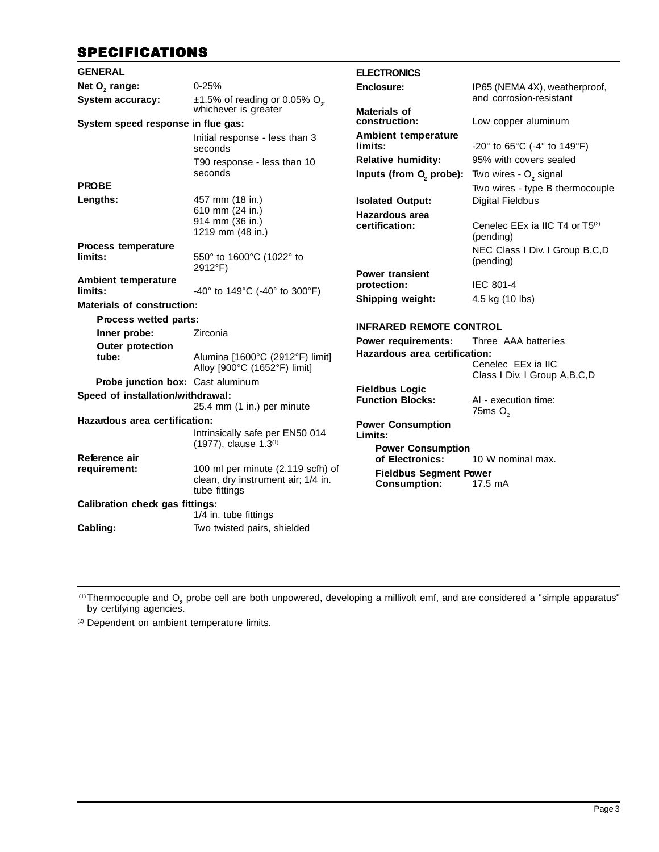#### **SPECIFICATIONS**

| <b>GENERAL</b>                         |                                                                         | <b>ELECTRONICS</b>                                   |                                                                      |  |  |  |  |
|----------------------------------------|-------------------------------------------------------------------------|------------------------------------------------------|----------------------------------------------------------------------|--|--|--|--|
| Net O <sub>2</sub> range:              | $0 - 25%$                                                               | Enclosure:                                           | IP65 (NEMA 4X), weatherproof,                                        |  |  |  |  |
| <b>System accuracy:</b>                | $\pm$ 1.5% of reading or 0.05% O <sub>2</sub>                           |                                                      | and corrosion-resistant                                              |  |  |  |  |
| System speed response in flue gas:     | whichever is greater                                                    | Materials of<br>construction:                        | Low copper aluminum                                                  |  |  |  |  |
|                                        | Initial response - less than 3<br>seconds                               | Ambient temperature<br>limits:                       | $-20^{\circ}$ to 65 $^{\circ}$ C (-4 $^{\circ}$ to 149 $^{\circ}$ F) |  |  |  |  |
|                                        | T90 response - less than 10                                             | <b>Relative humidity:</b>                            | 95% with covers sealed                                               |  |  |  |  |
|                                        | seconds                                                                 | Inputs (from O <sub>2</sub> probe):                  | Two wires - O <sub>2</sub> signal                                    |  |  |  |  |
| <b>PROBE</b>                           |                                                                         |                                                      | Two wires - type B thermocouple                                      |  |  |  |  |
| Lengths:                               | 457 mm (18 in.)                                                         | <b>Isolated Output:</b>                              | <b>Digital Fieldbus</b>                                              |  |  |  |  |
|                                        | 610 mm (24 in.)<br>914 mm (36 in.)                                      | <b>Hazardous area</b>                                |                                                                      |  |  |  |  |
|                                        | 1219 mm (48 in.)                                                        | certification:                                       | Cenelec EEx ia IIC T4 or T5 <sup>(2)</sup><br>(pending)              |  |  |  |  |
| <b>Process temperature</b><br>limits:  | 550° to 1600°C (1022° to                                                |                                                      | NEC Class I Div. I Group B,C,D<br>(pending)                          |  |  |  |  |
|                                        | 2912°F)                                                                 | <b>Power transient</b>                               |                                                                      |  |  |  |  |
| Ambient temperature<br>limits:         | -40 $^{\circ}$ to 149 $^{\circ}$ C (-40 $^{\circ}$ to 300 $^{\circ}$ F) | protection:                                          | <b>IEC 801-4</b>                                                     |  |  |  |  |
| <b>Materials of construction:</b>      |                                                                         | Shipping weight:                                     | 4.5 kg (10 lbs)                                                      |  |  |  |  |
| Process wetted parts:                  |                                                                         |                                                      |                                                                      |  |  |  |  |
| Inner probe:                           | Zirconia                                                                | <b>INFRARED REMOTE CONTROL</b>                       |                                                                      |  |  |  |  |
| <b>Outer protection</b>                |                                                                         | <b>Power requirements:</b>                           | Three AAA batteries                                                  |  |  |  |  |
| tube:                                  | Alumina [1600°C (2912°F) limit]<br>Alloy [900°C (1652°F) limit]         | Hazardous area certification:                        | Cenelec EEx ia IIC                                                   |  |  |  |  |
| Probe junction box: Cast aluminum      |                                                                         |                                                      | Class I Div. I Group A, B, C, D                                      |  |  |  |  |
| Speed of installation/withdrawal:      |                                                                         | <b>Fieldbus Logic</b>                                |                                                                      |  |  |  |  |
|                                        | 25.4 mm (1 in.) per minute                                              | <b>Function Blocks:</b>                              | AI - execution time:<br>75 $msO2$                                    |  |  |  |  |
| Hazardous area certification:          |                                                                         | <b>Power Consumption</b>                             |                                                                      |  |  |  |  |
|                                        | Intrinsically safe per EN50 014                                         | Limits:                                              |                                                                      |  |  |  |  |
|                                        | $(1977)$ , clause $1.3(1)$                                              | <b>Power Consumption</b>                             |                                                                      |  |  |  |  |
| Reference air<br>requirement:          | 100 ml per minute (2.119 scfh) of                                       | of Electronics:                                      | 10 W nominal max.                                                    |  |  |  |  |
|                                        | clean, dry instrument air; 1/4 in.<br>tube fittings                     | <b>Fieldbus Segment Power</b><br><b>Consumption:</b> | 17.5 mA                                                              |  |  |  |  |
| <b>Calibration check gas fittings:</b> |                                                                         |                                                      |                                                                      |  |  |  |  |
|                                        | 1/4 in. tube fittings                                                   |                                                      |                                                                      |  |  |  |  |
| Cabling:                               | Two twisted pairs, shielded                                             |                                                      |                                                                      |  |  |  |  |

<sup>(1)</sup>Thermocouple and O<sub>2</sub> probe cell are both unpowered, developing a millivolt emf, and are considered a "simple apparatus" by certifying agencies.

(2) Dependent on ambient temperature limits.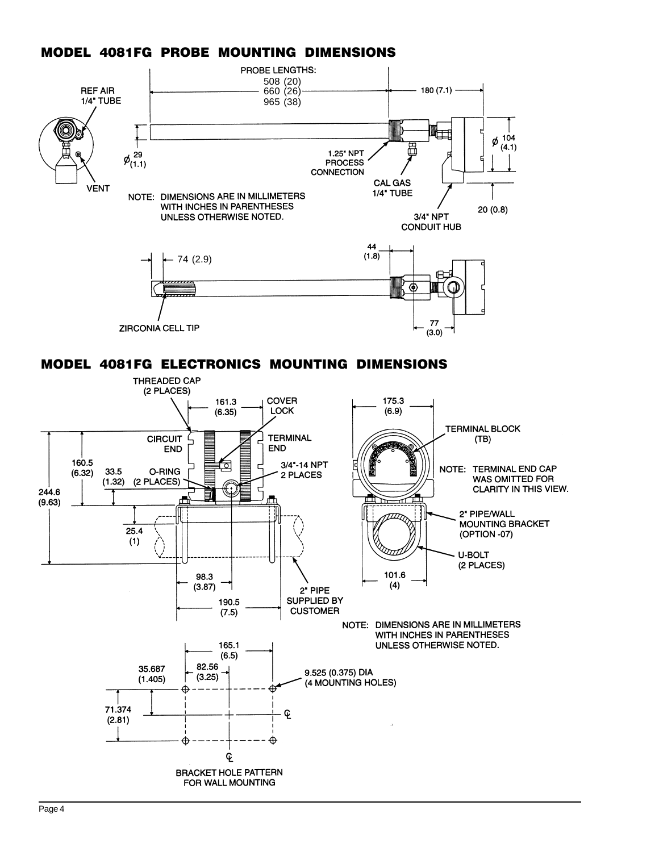#### MODEL 4081FG PROBE MOUNTING DIMENSIONS



MODEL 4081FG ELECTRONICS MOUNTING DIMENSIONS

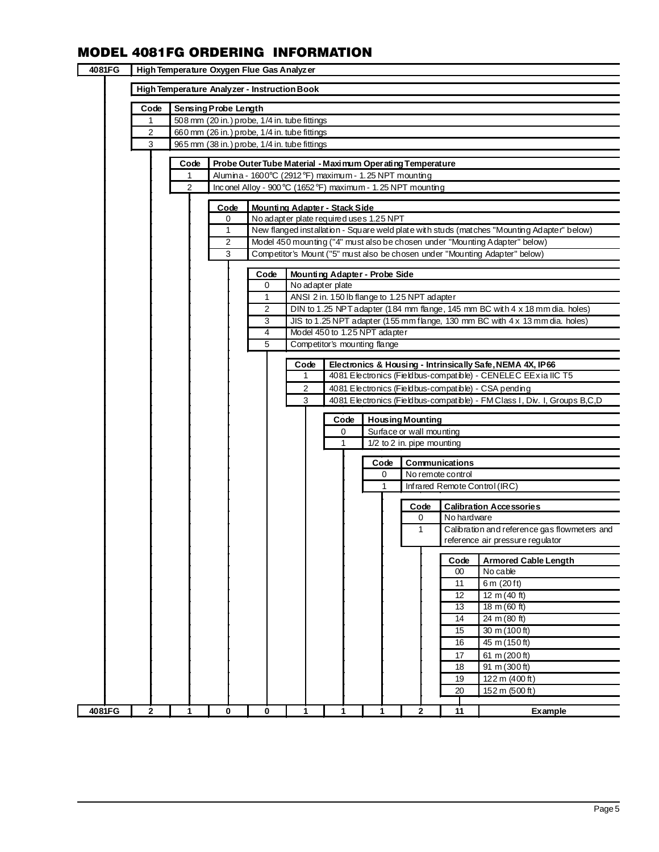#### MODEL 4081FG ORDERING INFORMATION

| 4081FG | High Temperature Oxygen Flue Gas Analyzer |                                              |                                                                                              |                |                                                            |                                    |              |                                              |      |  |      |                          |                            |                                                                                                                                   |
|--------|-------------------------------------------|----------------------------------------------|----------------------------------------------------------------------------------------------|----------------|------------------------------------------------------------|------------------------------------|--------------|----------------------------------------------|------|--|------|--------------------------|----------------------------|-----------------------------------------------------------------------------------------------------------------------------------|
|        |                                           | High Temperature Analyzer - Instruction Book |                                                                                              |                |                                                            |                                    |              |                                              |      |  |      |                          |                            |                                                                                                                                   |
|        |                                           |                                              |                                                                                              |                |                                                            |                                    |              |                                              |      |  |      |                          |                            |                                                                                                                                   |
|        | Code                                      |                                              | Sensing Probe Length                                                                         |                |                                                            |                                    |              |                                              |      |  |      |                          |                            |                                                                                                                                   |
|        | $\mathbf{1}$                              |                                              | 508 mm (20 in.) probe, 1/4 in. tube fittings                                                 |                |                                                            |                                    |              |                                              |      |  |      |                          |                            |                                                                                                                                   |
|        | 2<br>3                                    |                                              | 660 mm (26 in.) probe, 1/4 in. tube fittings<br>965 mm (38 in.) probe, 1/4 in. tube fittings |                |                                                            |                                    |              |                                              |      |  |      |                          |                            |                                                                                                                                   |
|        |                                           |                                              |                                                                                              |                |                                                            |                                    |              |                                              |      |  |      |                          |                            |                                                                                                                                   |
|        |                                           | Code                                         |                                                                                              |                | Probe Outer Tube Material - Maximum Oper ating Temperature |                                    |              |                                              |      |  |      |                          |                            |                                                                                                                                   |
|        |                                           | $\mathbf{1}$                                 |                                                                                              |                | Alumina - 1600°C (2912°F) maximum - 1.25 NPT mounting      |                                    |              |                                              |      |  |      |                          |                            |                                                                                                                                   |
|        |                                           | 2                                            |                                                                                              |                | Inconel Alloy - 900°C (1652°F) maximum - 1.25 NPT mounting |                                    |              |                                              |      |  |      |                          |                            |                                                                                                                                   |
|        |                                           |                                              |                                                                                              | Code           | Mounting Adapter - Stack Side                              |                                    |              |                                              |      |  |      |                          |                            |                                                                                                                                   |
|        |                                           |                                              |                                                                                              | 0              | No adapter plate required uses 1.25 NPT                    |                                    |              |                                              |      |  |      |                          |                            |                                                                                                                                   |
|        |                                           |                                              |                                                                                              | 1              |                                                            |                                    |              |                                              |      |  |      |                          |                            | New flanged installation - Square weld plate with studs (matches "Mounting Adapter" below)                                        |
|        |                                           |                                              |                                                                                              | $\overline{2}$ |                                                            |                                    |              |                                              |      |  |      |                          |                            | Model 450 mounting ("4" must also be chosen under "Mounting Adapter" below)                                                       |
|        |                                           |                                              |                                                                                              | 3              |                                                            |                                    |              |                                              |      |  |      |                          |                            | Competitor's Mount ("5" must also be chosen under "Mounting Adapter" below)                                                       |
|        |                                           |                                              |                                                                                              |                |                                                            |                                    |              |                                              |      |  |      |                          |                            |                                                                                                                                   |
|        |                                           |                                              |                                                                                              |                | Code                                                       |                                    |              | Mounting Adapter - Probe Side                |      |  |      |                          |                            |                                                                                                                                   |
|        |                                           |                                              |                                                                                              |                | 0                                                          |                                    |              | No adapter plate                             |      |  |      |                          |                            |                                                                                                                                   |
|        |                                           |                                              |                                                                                              |                | 1<br>2                                                     |                                    |              | ANSI 2 in. 150 lb flange to 1.25 NPT adapter |      |  |      |                          |                            | DIN to 1.25 NPT adapter (184 mm flange, 145 mm BC with 4 x 18 mm dia. holes)                                                      |
|        |                                           |                                              |                                                                                              |                | 3                                                          |                                    |              |                                              |      |  |      |                          |                            | JIS to 1.25 NPT adapter (155 mm flange, 130 mm BC with 4 x 13 mm dia. holes)                                                      |
|        |                                           |                                              |                                                                                              |                | 4                                                          |                                    |              | Model 450 to 1.25 NPT adapter                |      |  |      |                          |                            |                                                                                                                                   |
|        |                                           |                                              |                                                                                              |                | 5                                                          |                                    |              | Competitor's mounting flange                 |      |  |      |                          |                            |                                                                                                                                   |
|        |                                           |                                              |                                                                                              |                |                                                            |                                    |              |                                              |      |  |      |                          |                            |                                                                                                                                   |
|        |                                           |                                              |                                                                                              |                |                                                            |                                    | Code         |                                              |      |  |      |                          |                            | Electronics & Housing - Intrinsically Safe, NEMA 4X, IP66                                                                         |
|        |                                           |                                              |                                                                                              |                |                                                            |                                    | $\mathbf{1}$ |                                              |      |  |      |                          |                            | 4081 Electronics (Fieldbus-compatible) - CENELEC EExia IIC T5                                                                     |
|        |                                           |                                              |                                                                                              |                |                                                            |                                    | 2<br>3       |                                              |      |  |      |                          |                            | 4081 Electronics (Fieldbus-compatible) - CSA pending<br>4081 Electronics (Fieldbus-compatible) - FM Class I, Div. I, Groups B,C,D |
|        |                                           |                                              |                                                                                              |                |                                                            |                                    |              |                                              |      |  |      |                          |                            |                                                                                                                                   |
|        |                                           |                                              |                                                                                              |                |                                                            |                                    |              |                                              | Code |  |      | <b>Housing Mounting</b>  |                            |                                                                                                                                   |
|        |                                           |                                              |                                                                                              |                |                                                            |                                    |              |                                              | 0    |  |      | Surface or wall mounting |                            |                                                                                                                                   |
|        |                                           |                                              |                                                                                              |                |                                                            |                                    |              | 1                                            |      |  |      |                          | 1/2 to 2 in. pipe mounting |                                                                                                                                   |
|        |                                           |                                              |                                                                                              |                |                                                            |                                    |              |                                              |      |  | Code |                          | Communications             |                                                                                                                                   |
|        |                                           |                                              |                                                                                              |                |                                                            | 0<br>No remote control             |              |                                              |      |  |      |                          |                            |                                                                                                                                   |
|        |                                           |                                              |                                                                                              |                |                                                            | 1<br>Infrared Remote Control (IRC) |              |                                              |      |  |      |                          |                            |                                                                                                                                   |
|        |                                           |                                              |                                                                                              |                |                                                            |                                    |              |                                              |      |  |      |                          |                            |                                                                                                                                   |
|        |                                           |                                              |                                                                                              |                |                                                            |                                    |              |                                              |      |  |      | Code<br>0                | No hardware                | <b>Calibration Accessories</b>                                                                                                    |
|        |                                           |                                              |                                                                                              |                |                                                            |                                    |              |                                              |      |  |      | 1                        |                            | Calibration and reference gas flowmeters and                                                                                      |
|        |                                           |                                              |                                                                                              |                |                                                            |                                    |              |                                              |      |  |      |                          |                            | reference air pressure regulator                                                                                                  |
|        |                                           |                                              |                                                                                              |                |                                                            |                                    |              |                                              |      |  |      |                          |                            |                                                                                                                                   |
|        |                                           |                                              |                                                                                              |                |                                                            |                                    |              |                                              |      |  |      |                          | Code                       | <b>Armored Cable Length</b>                                                                                                       |
|        |                                           |                                              |                                                                                              |                |                                                            |                                    |              |                                              |      |  |      |                          | 00<br>11                   | No cable                                                                                                                          |
|        |                                           |                                              |                                                                                              |                |                                                            |                                    |              |                                              |      |  |      |                          | 12                         | 6 m (20 ft)<br>12 m (40 ft)                                                                                                       |
|        |                                           |                                              |                                                                                              |                |                                                            |                                    |              |                                              |      |  |      |                          | 13                         | $18 \text{ m} (60 \text{ ft})$                                                                                                    |
|        |                                           |                                              |                                                                                              |                |                                                            |                                    |              |                                              |      |  |      |                          | $\overline{14}$            | $24 \text{ m} (80 \text{ ft})$                                                                                                    |
|        |                                           |                                              |                                                                                              |                |                                                            |                                    |              |                                              |      |  |      |                          | 15                         | 30 m (100 ft)                                                                                                                     |
|        |                                           |                                              |                                                                                              |                |                                                            |                                    |              |                                              |      |  |      |                          | 16                         | 45 m (150 ft)                                                                                                                     |
|        |                                           |                                              |                                                                                              |                |                                                            |                                    |              |                                              |      |  |      |                          | 17                         | 61 m $(200 ft)$                                                                                                                   |
|        |                                           |                                              |                                                                                              |                |                                                            |                                    |              |                                              |      |  |      |                          | 18                         | 91 m (300 ft)                                                                                                                     |
|        |                                           |                                              |                                                                                              |                |                                                            |                                    |              |                                              |      |  |      |                          | 19                         | 122 m (400 ft)                                                                                                                    |
|        |                                           |                                              |                                                                                              |                |                                                            |                                    |              |                                              |      |  |      |                          | 20                         | 152 m (500 ft)                                                                                                                    |
|        |                                           |                                              |                                                                                              |                |                                                            |                                    |              |                                              |      |  |      |                          |                            |                                                                                                                                   |
| 4081FG | 2                                         |                                              |                                                                                              | 0              | 0                                                          |                                    |              |                                              |      |  |      | $\overline{2}$           | 11                         | Example                                                                                                                           |